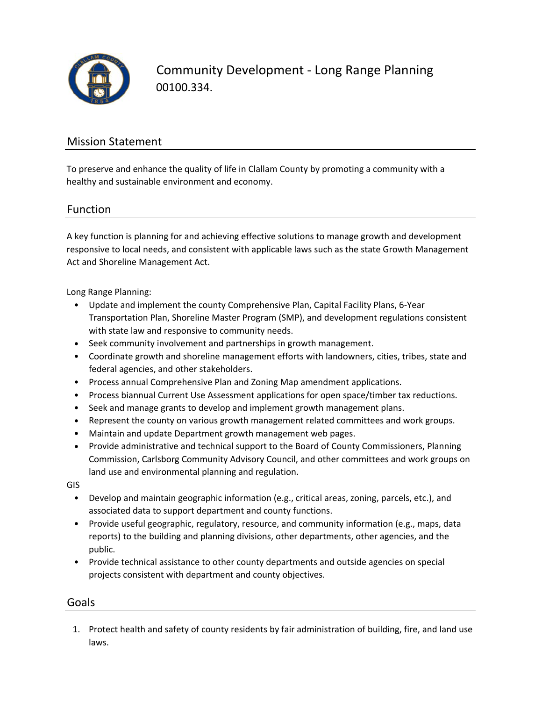

Community Development ‐ Long Range Planning 00100.334.

## Mission Statement

To preserve and enhance the quality of life in Clallam County by promoting a community with a healthy and sustainable environment and economy.

#### Function

A key function is planning for and achieving effective solutions to manage growth and development responsive to local needs, and consistent with applicable laws such as the state Growth Management Act and Shoreline Management Act.

Long Range Planning:

- Update and implement the county Comprehensive Plan, Capital Facility Plans, 6‐Year Transportation Plan, Shoreline Master Program (SMP), and development regulations consistent with state law and responsive to community needs.
- Seek community involvement and partnerships in growth management.
- Coordinate growth and shoreline management efforts with landowners, cities, tribes, state and federal agencies, and other stakeholders.
- Process annual Comprehensive Plan and Zoning Map amendment applications.
- Process biannual Current Use Assessment applications for open space/timber tax reductions.
- Seek and manage grants to develop and implement growth management plans.
- Represent the county on various growth management related committees and work groups.
- Maintain and update Department growth management web pages.
- Provide administrative and technical support to the Board of County Commissioners, Planning Commission, Carlsborg Community Advisory Council, and other committees and work groups on land use and environmental planning and regulation.

GIS

- Develop and maintain geographic information (e.g., critical areas, zoning, parcels, etc.), and associated data to support department and county functions.
- Provide useful geographic, regulatory, resource, and community information (e.g., maps, data reports) to the building and planning divisions, other departments, other agencies, and the public.
- Provide technical assistance to other county departments and outside agencies on special projects consistent with department and county objectives.

#### **Goals**

1. Protect health and safety of county residents by fair administration of building, fire, and land use laws.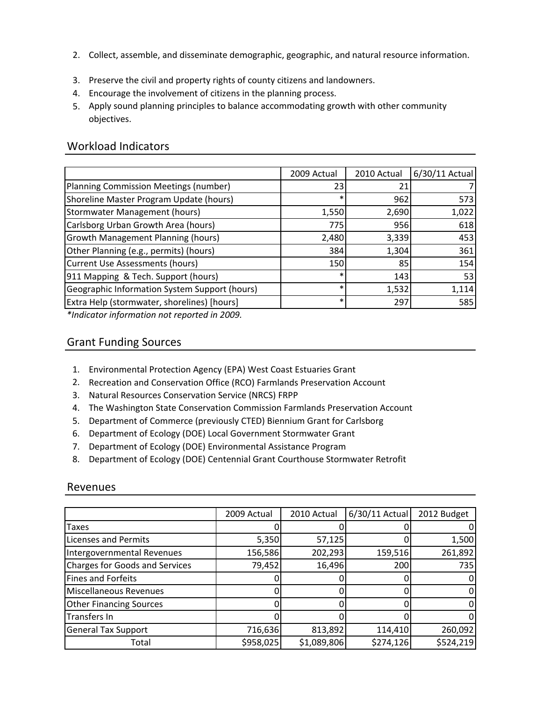- 2. Collect, assemble, and disseminate demographic, geographic, and natural resource information.
- 3. Preserve the civil and property rights of county citizens and landowners.
- 4. Encourage the involvement of citizens in the planning process.
- 5. Apply sound planning principles to balance accommodating growth with other community objectives.

## Workload Indicators

|                                               | 2009 Actual | 2010 Actual | 6/30/11 Actual |
|-----------------------------------------------|-------------|-------------|----------------|
| Planning Commission Meetings (number)         | 23          | 21          |                |
| Shoreline Master Program Update (hours)       | $\ast$      | 962         | 573            |
| <b>Stormwater Management (hours)</b>          | 1,550       | 2,690       | 1,022          |
| Carlsborg Urban Growth Area (hours)           | 775         | 956         | 618            |
| <b>Growth Management Planning (hours)</b>     | 2,480       | 3,339       | 453            |
| Other Planning (e.g., permits) (hours)        | 384         | 1,304       | 361            |
| <b>Current Use Assessments (hours)</b>        | 150         | 85          | 154            |
| 911 Mapping & Tech. Support (hours)           | $\ast$      | 143         | 53             |
| Geographic Information System Support (hours) | $\ast$      | 1,532       | 1,114          |
| Extra Help (stormwater, shorelines) [hours]   | ∗           | 297         | 585            |

*\*Indicator information not reported in 2009.*

## Grant Funding Sources

- 1. Environmental Protection Agency (EPA) West Coast Estuaries Grant
- 2. Recreation and Conservation Office (RCO) Farmlands Preservation Account
- 3. Natural Resources Conservation Service (NRCS) FRPP
- 4. The Washington State Conservation Commission Farmlands Preservation Account
- 5. Department of Commerce (previously CTED) Biennium Grant for Carlsborg
- 6. Department of Ecology (DOE) Local Government Stormwater Grant
- 7. Department of Ecology (DOE) Environmental Assistance Program
- 8. Department of Ecology (DOE) Centennial Grant Courthouse Stormwater Retrofit

#### Revenues

|                                | 2009 Actual | 2010 Actual | 6/30/11 Actual | 2012 Budget |
|--------------------------------|-------------|-------------|----------------|-------------|
|                                |             |             |                |             |
| Taxes                          |             |             |                |             |
| <b>Licenses and Permits</b>    | 5,350       | 57,125      |                | 1,500       |
| Intergovernmental Revenues     | 156,586     | 202,293     | 159,516        | 261,892     |
| Charges for Goods and Services | 79,452      | 16,496      | 200            | 735         |
| <b>Fines and Forfeits</b>      |             |             |                |             |
| Miscellaneous Revenues         |             |             |                |             |
| <b>Other Financing Sources</b> |             |             |                |             |
| <b>Transfers In</b>            |             |             |                |             |
| <b>General Tax Support</b>     | 716,636     | 813,892     | 114,410        | 260,092     |
| Total                          | \$958,025   | \$1,089,806 | \$274,126      | \$524,219   |